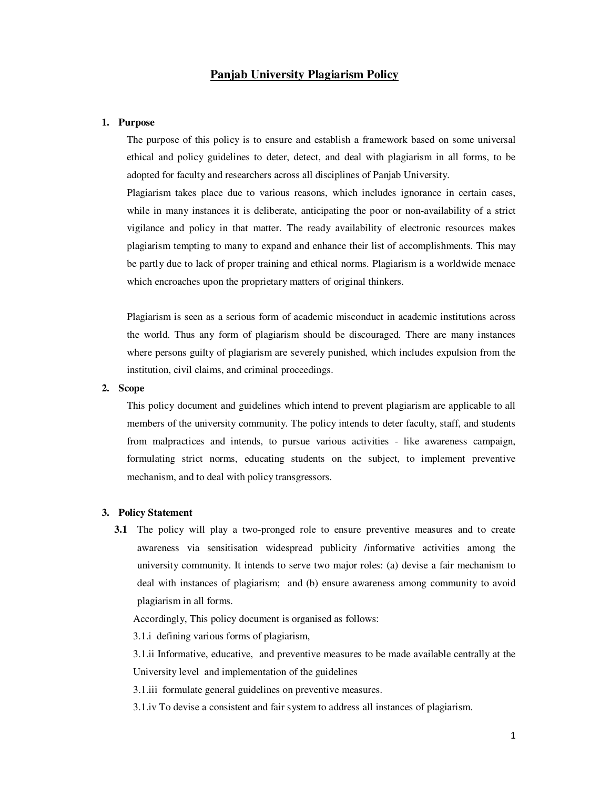# **Panjab University Plagiarism Policy**

# **1. Purpose**

The purpose of this policy is to ensure and establish a framework based on some universal ethical and policy guidelines to deter, detect, and deal with plagiarism in all forms, to be adopted for faculty and researchers across all disciplines of Panjab University.

Plagiarism takes place due to various reasons, which includes ignorance in certain cases, while in many instances it is deliberate, anticipating the poor or non-availability of a strict vigilance and policy in that matter. The ready availability of electronic resources makes plagiarism tempting to many to expand and enhance their list of accomplishments. This may be partly due to lack of proper training and ethical norms. Plagiarism is a worldwide menace which encroaches upon the proprietary matters of original thinkers.

Plagiarism is seen as a serious form of academic misconduct in academic institutions across the world. Thus any form of plagiarism should be discouraged. There are many instances where persons guilty of plagiarism are severely punished, which includes expulsion from the institution, civil claims, and criminal proceedings.

# **2. Scope**

This policy document and guidelines which intend to prevent plagiarism are applicable to all members of the university community. The policy intends to deter faculty, staff, and students from malpractices and intends, to pursue various activities - like awareness campaign, formulating strict norms, educating students on the subject, to implement preventive mechanism, and to deal with policy transgressors.

#### **3. Policy Statement**

**3.1** The policy will play a two-pronged role to ensure preventive measures and to create awareness via sensitisation widespread publicity /informative activities among the university community. It intends to serve two major roles: (a) devise a fair mechanism to deal with instances of plagiarism; and (b) ensure awareness among community to avoid plagiarism in all forms.

Accordingly, This policy document is organised as follows:

3.1.i defining various forms of plagiarism,

3.1.ii Informative, educative, and preventive measures to be made available centrally at the University level and implementation of the guidelines

3.1.iii formulate general guidelines on preventive measures.

3.1.iv To devise a consistent and fair system to address all instances of plagiarism.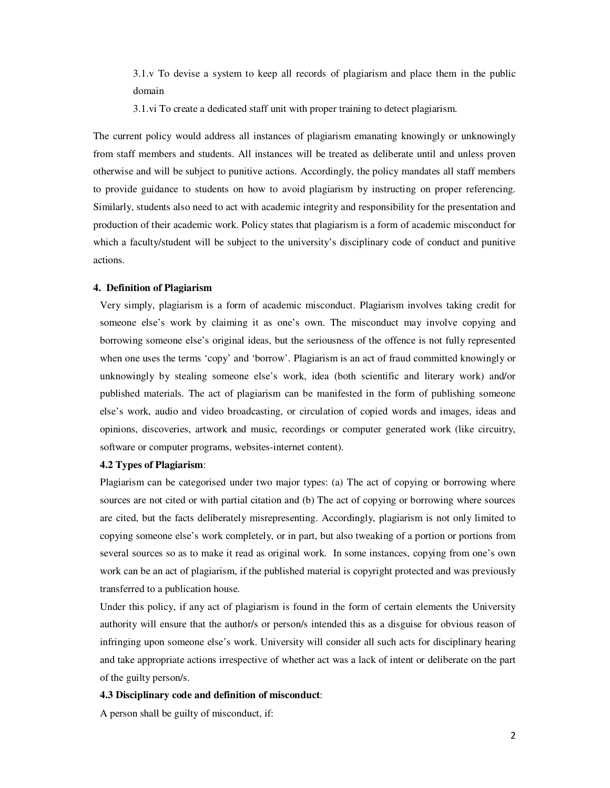3.1.v To devise a system to keep all records of plagiarism and place them in the public domain

3.1.vi To create a dedicated staff unit with proper training to detect plagiarism.

The current policy would address all instances of plagiarism emanating knowingly or unknowingly from staff members and students. All instances will be treated as deliberate until and unless proven otherwise and will be subject to punitive actions. Accordingly, the policy mandates all staff members to provide guidance to students on how to avoid plagiarism by instructing on proper referencing. Similarly, students also need to act with academic integrity and responsibility for the presentation and production of their academic work. Policy states that plagiarism is a form of academic misconduct for which a faculty/student will be subject to the university's disciplinary code of conduct and punitive actions.

### **4. Definition of Plagiarism**

Very simply, plagiarism is a form of academic misconduct. Plagiarism involves taking credit for someone else's work by claiming it as one's own. The misconduct may involve copying and borrowing someone else's original ideas, but the seriousness of the offence is not fully represented when one uses the terms 'copy' and 'borrow'. Plagiarism is an act of fraud committed knowingly or unknowingly by stealing someone else's work, idea (both scientific and literary work) and/or published materials. The act of plagiarism can be manifested in the form of publishing someone else's work, audio and video broadcasting, or circulation of copied words and images, ideas and opinions, discoveries, artwork and music, recordings or computer generated work (like circuitry, software or computer programs, websites-internet content).

# **4.2 Types of Plagiarism**:

Plagiarism can be categorised under two major types: (a) The act of copying or borrowing where sources are not cited or with partial citation and (b) The act of copying or borrowing where sources are cited, but the facts deliberately misrepresenting. Accordingly, plagiarism is not only limited to copying someone else's work completely, or in part, but also tweaking of a portion or portions from several sources so as to make it read as original work. In some instances, copying from one's own work can be an act of plagiarism, if the published material is copyright protected and was previously transferred to a publication house.

Under this policy, if any act of plagiarism is found in the form of certain elements the University authority will ensure that the author/s or person/s intended this as a disguise for obvious reason of infringing upon someone else's work. University will consider all such acts for disciplinary hearing and take appropriate actions irrespective of whether act was a lack of intent or deliberate on the part of the guilty person/s.

#### **4.3 Disciplinary code and definition of misconduct**:

A person shall be guilty of misconduct, if: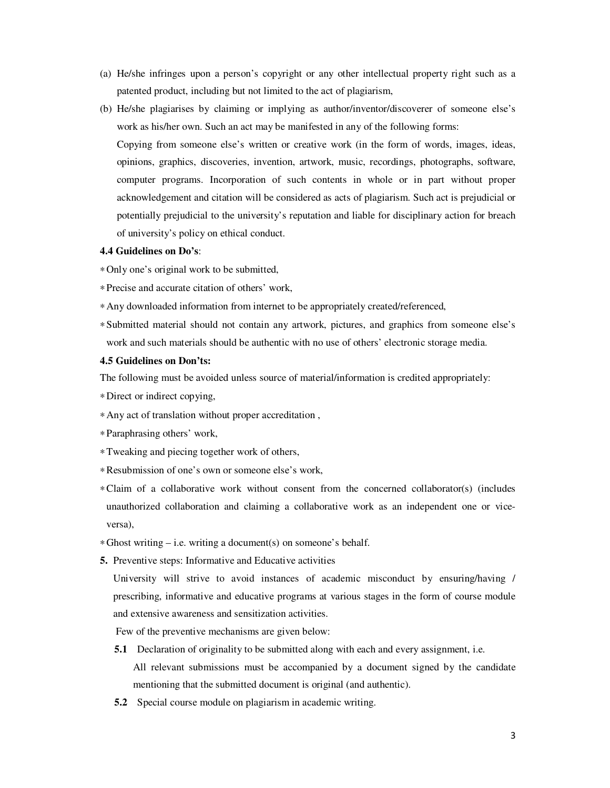- (a) He/she infringes upon a person's copyright or any other intellectual property right such as a patented product, including but not limited to the act of plagiarism,
- (b) He/she plagiarises by claiming or implying as author/inventor/discoverer of someone else's work as his/her own. Such an act may be manifested in any of the following forms:

Copying from someone else's written or creative work (in the form of words, images, ideas, opinions, graphics, discoveries, invention, artwork, music, recordings, photographs, software, computer programs. Incorporation of such contents in whole or in part without proper acknowledgement and citation will be considered as acts of plagiarism. Such act is prejudicial or potentially prejudicial to the university's reputation and liable for disciplinary action for breach of university's policy on ethical conduct.

### **4.4 Guidelines on Do's**:

∗Only one's original work to be submitted,

∗Precise and accurate citation of others' work,

- ∗Any downloaded information from internet to be appropriately created/referenced,
- ∗Submitted material should not contain any artwork, pictures, and graphics from someone else's work and such materials should be authentic with no use of others' electronic storage media.

# **4.5 Guidelines on Don'ts:**

The following must be avoided unless source of material/information is credited appropriately:

- ∗Direct or indirect copying,
- ∗Any act of translation without proper accreditation ,
- ∗Paraphrasing others' work,
- ∗Tweaking and piecing together work of others,
- ∗Resubmission of one's own or someone else's work,
- ∗Claim of a collaborative work without consent from the concerned collaborator(s) (includes unauthorized collaboration and claiming a collaborative work as an independent one or viceversa),
- ∗Ghost writing i.e. writing a document(s) on someone's behalf.
- **5.** Preventive steps: Informative and Educative activities

University will strive to avoid instances of academic misconduct by ensuring/having / prescribing, informative and educative programs at various stages in the form of course module and extensive awareness and sensitization activities.

Few of the preventive mechanisms are given below:

- **5.1** Declaration of originality to be submitted along with each and every assignment, i.e. All relevant submissions must be accompanied by a document signed by the candidate mentioning that the submitted document is original (and authentic).
- **5.2** Special course module on plagiarism in academic writing.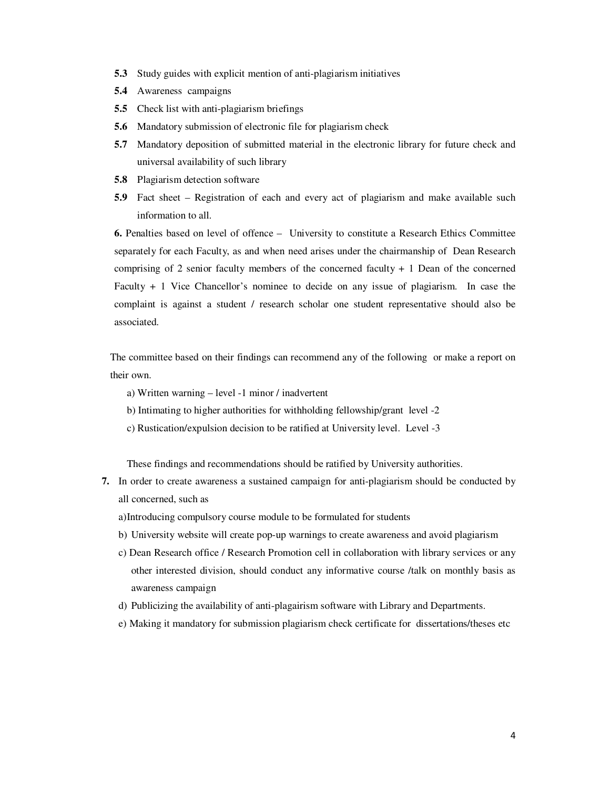- **5.3** Study guides with explicit mention of anti-plagiarism initiatives
- **5.4** Awareness campaigns
- **5.5** Check list with anti-plagiarism briefings
- **5.6** Mandatory submission of electronic file for plagiarism check
- **5.7** Mandatory deposition of submitted material in the electronic library for future check and universal availability of such library
- **5.8** Plagiarism detection software
- **5.9** Fact sheet Registration of each and every act of plagiarism and make available such information to all.

**6.** Penalties based on level of offence – University to constitute a Research Ethics Committee separately for each Faculty, as and when need arises under the chairmanship of Dean Research comprising of 2 senior faculty members of the concerned faculty + 1 Dean of the concerned Faculty + 1 Vice Chancellor's nominee to decide on any issue of plagiarism. In case the complaint is against a student / research scholar one student representative should also be associated.

The committee based on their findings can recommend any of the following or make a report on their own.

- a) Written warning level -1 minor / inadvertent
- b) Intimating to higher authorities for withholding fellowship/grant level -2
- c) Rustication/expulsion decision to be ratified at University level. Level -3

These findings and recommendations should be ratified by University authorities.

- **7.** In order to create awareness a sustained campaign for anti-plagiarism should be conducted by all concerned, such as
	- a)Introducing compulsory course module to be formulated for students
	- b) University website will create pop-up warnings to create awareness and avoid plagiarism
	- c) Dean Research office / Research Promotion cell in collaboration with library services or any other interested division, should conduct any informative course /talk on monthly basis as awareness campaign
	- d) Publicizing the availability of anti-plagairism software with Library and Departments.
	- e) Making it mandatory for submission plagiarism check certificate for dissertations/theses etc